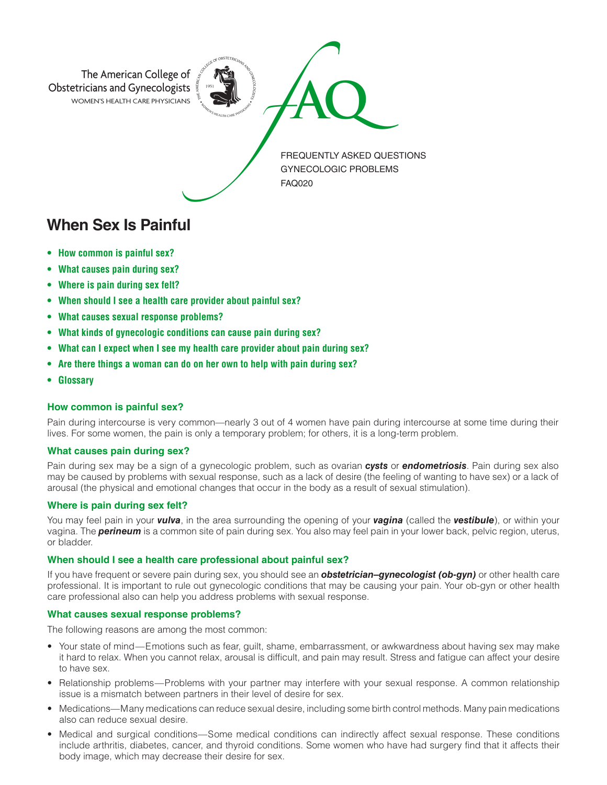

**When Sex Is Painful**

- **How common is painful sex?**
- **What causes pain during sex?**
- **Where is pain during sex felt?**
- **When should I see a health care provider about painful sex?**
- **What causes sexual response problems?**
- **What kinds of gynecologic conditions can cause pain during sex?**
- **What can I expect when I see my health care provider about pain during sex?**
- **Are there things a woman can do on her own to help with pain during sex?**
- **Glossary**

### **How common is painful sex?**

Pain during intercourse is very common—nearly 3 out of 4 women have pain during intercourse at some time during their lives. For some women, the pain is only a temporary problem; for others, it is a long-term problem.

### **What causes pain during sex?**

Pain during sex may be a sign of a gynecologic problem, such as ovarian *cysts* or *endometriosis*. Pain during sex also may be caused by problems with sexual response, such as a lack of desire (the feeling of wanting to have sex) or a lack of arousal (the physical and emotional changes that occur in the body as a result of sexual stimulation).

# **Where is pain during sex felt?**

You may feel pain in your *vulva*, in the area surrounding the opening of your *vagina* (called the *vestibule*), or within your vagina. The *perineum* is a common site of pain during sex. You also may feel pain in your lower back, pelvic region, uterus, or bladder.

### **When should I see a health care professional about painful sex?**

If you have frequent or severe pain during sex, you should see an *obstetrician–gynecologist (ob-gyn)* or other health care professional. It is important to rule out gynecologic conditions that may be causing your pain. Your ob-gyn or other health care professional also can help you address problems with sexual response.

### **What causes sexual response problems?**

The following reasons are among the most common:

- Your state of mind—Emotions such as fear, guilt, shame, embarrassment, or awkwardness about having sex may make it hard to relax. When you cannot relax, arousal is difficult, and pain may result. Stress and fatigue can affect your desire to have sex.
- Relationship problems—Problems with your partner may interfere with your sexual response. A common relationship issue is a mismatch between partners in their level of desire for sex.
- Medications—Many medications can reduce sexual desire, including some birth control methods. Many pain medications also can reduce sexual desire.
- Medical and surgical conditions—Some medical conditions can indirectly affect sexual response. These conditions include arthritis, diabetes, cancer, and thyroid conditions. Some women who have had surgery find that it affects their body image, which may decrease their desire for sex.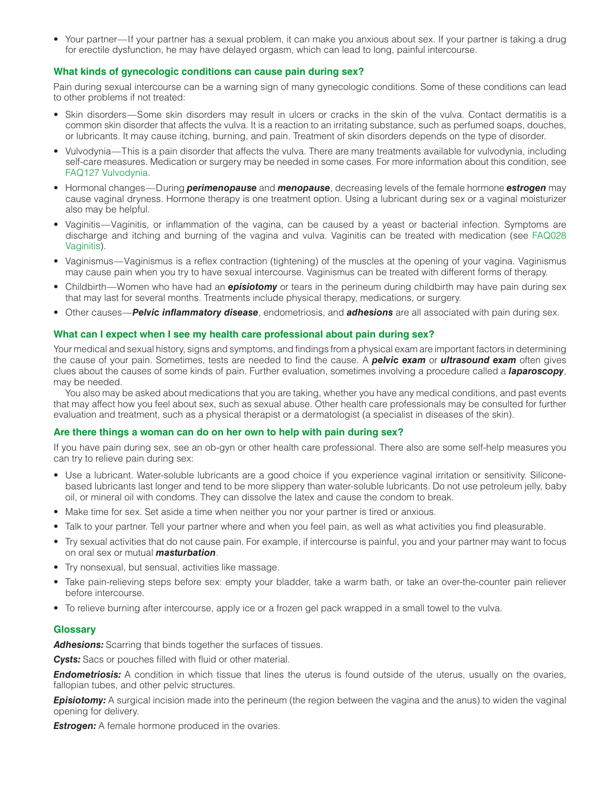• Your partner—If your partner has a sexual problem, it can make you anxious about sex. If your partner is taking a drug for erectile dysfunction, he may have delayed orgasm, which can lead to long, painful intercourse.

# **What kinds of gynecologic conditions can cause pain during sex?**

Pain during sexual intercourse can be a warning sign of many gynecologic conditions. Some of these conditions can lead to other problems if not treated:

- Skin disorders—Some skin disorders may result in ulcers or cracks in the skin of the vulva. Contact dermatitis is a common skin disorder that affects the vulva. It is a reaction to an irritating substance, such as perfumed soaps, douches, or lubricants. It may cause itching, burning, and pain. Treatment of skin disorders depends on the type of disorder.
- Vulvodynia—This is a pain disorder that affects the vulva. There are many treatments available for vulvodynia, including self-care measures. Medication or surgery may be needed in some cases. For more information about this condition, see FAQ127 Vulvodynia.
- Hormonal changes—During *perimenopause* and *menopause*, decreasing levels of the female hormone *estrogen* may cause vaginal dryness. Hormone therapy is one treatment option. Using a lubricant during sex or a vaginal moisturizer also may be helpful.
- Vaginitis—Vaginitis, or inflammation of the vagina, can be caused by a yeast or bacterial infection. Symptoms are discharge and itching and burning of the vagina and vulva. Vaginitis can be treated with medication (see FAQ028 Vaginitis).
- Vaginismus—Vaginismus is a reflex contraction (tightening) of the muscles at the opening of your vagina. Vaginismus may cause pain when you try to have sexual intercourse. Vaginismus can be treated with different forms of therapy.
- Childbirth—Women who have had an *episiotomy* or tears in the perineum during childbirth may have pain during sex that may last for several months. Treatments include physical therapy, medications, or surgery.
- Other causes—*Pelvic inflammatory disease*, endometriosis, and *adhesions* are all associated with pain during sex.

# **What can I expect when I see my health care professional about pain during sex?**

Your medical and sexual history, signs and symptoms, and findings from a physical exam are important factors in determining the cause of your pain. Sometimes, tests are needed to find the cause. A *pelvic exam* or *ultrasound exam* often gives clues about the causes of some kinds of pain. Further evaluation, sometimes involving a procedure called a *laparoscopy*, may be needed.

You also may be asked about medications that you are taking, whether you have any medical conditions, and past events that may affect how you feel about sex, such as sexual abuse. Other health care professionals may be consulted for further evaluation and treatment, such as a physical therapist or a dermatologist (a specialist in diseases of the skin).

# **Are there things a woman can do on her own to help with pain during sex?**

If you have pain during sex, see an ob-gyn or other health care professional. There also are some self-help measures you can try to relieve pain during sex:

- Use a lubricant. Water-soluble lubricants are a good choice if you experience vaginal irritation or sensitivity. Siliconebased lubricants last longer and tend to be more slippery than water-soluble lubricants. Do not use petroleum jelly, baby oil, or mineral oil with condoms. They can dissolve the latex and cause the condom to break.
- Make time for sex. Set aside a time when neither you nor your partner is tired or anxious.
- Talk to your partner. Tell your partner where and when you feel pain, as well as what activities you find pleasurable.
- Try sexual activities that do not cause pain. For example, if intercourse is painful, you and your partner may want to focus on oral sex or mutual *masturbation*.
- Try nonsexual, but sensual, activities like massage.
- Take pain-relieving steps before sex: empty your bladder, take a warm bath, or take an over-the-counter pain reliever before intercourse.
- To relieve burning after intercourse, apply ice or a frozen gel pack wrapped in a small towel to the vulva.

### **Glossary**

*Adhesions:* Scarring that binds together the surfaces of tissues.

**Cysts:** Sacs or pouches filled with fluid or other material.

*Endometriosis:* A condition in which tissue that lines the uterus is found outside of the uterus, usually on the ovaries, fallopian tubes, and other pelvic structures.

**Episiotomy:** A surgical incision made into the perineum (the region between the vagina and the anus) to widen the vaginal opening for delivery.

**Estrogen:** A female hormone produced in the ovaries.